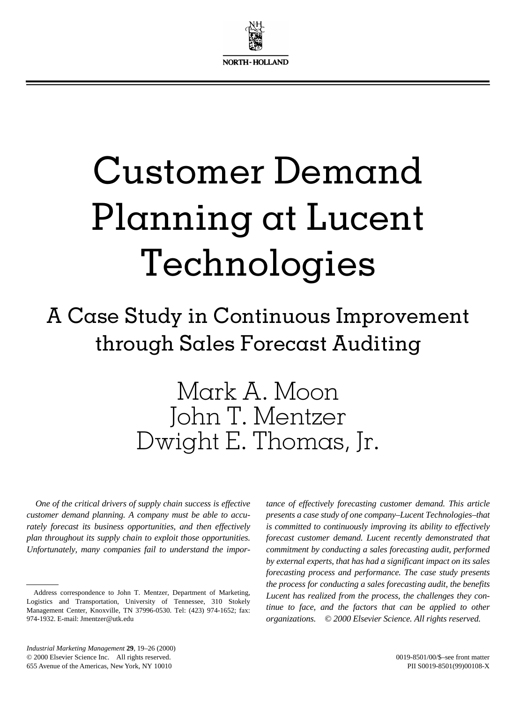

# Customer Demand Planning at Lucent Technologies

A Case Study in Continuous Improvement through Sales Forecast Auditing

> Mark A. Moon John T. Mentzer Dwight E. Thomas, Jr.

*One of the critical drivers of supply chain success is effective customer demand planning. A company must be able to accurately forecast its business opportunities, and then effectively plan throughout its supply chain to exploit those opportunities. Unfortunately, many companies fail to understand the impor-*

*tance of effectively forecasting customer demand. This article presents a case study of one company–Lucent Technologies–that is committed to continuously improving its ability to effectively forecast customer demand. Lucent recently demonstrated that commitment by conducting a sales forecasting audit, performed by external experts, that has had a significant impact on its sales forecasting process and performance. The case study presents the process for conducting a sales forecasting audit, the benefits Lucent has realized from the process, the challenges they continue to face, and the factors that can be applied to other organizations. © 2000 Elsevier Science. All rights reserved.*

Address correspondence to John T. Mentzer, Department of Marketing, Logistics and Transportation, University of Tennessee, 310 Stokely Management Center, Knoxville, TN 37996-0530. Tel: (423) 974-1652; fax: 974-1932. E-mail: Jmentzer@utk.edu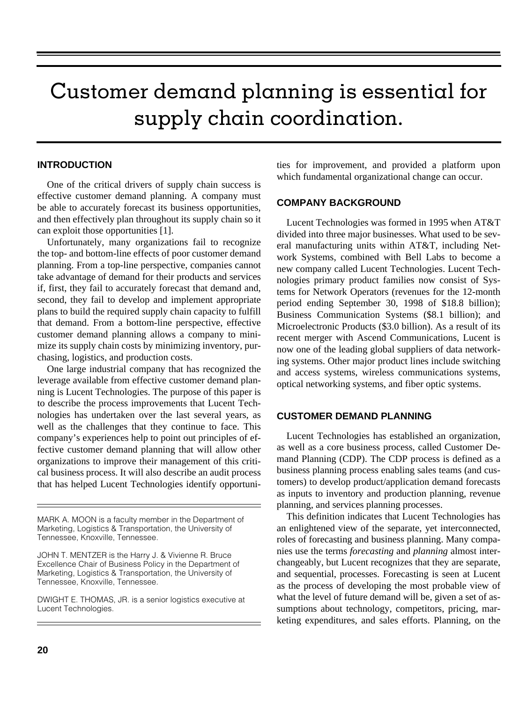## Customer demand planning is essential for supply chain coordination.

#### **INTRODUCTION**

One of the critical drivers of supply chain success is effective customer demand planning. A company must be able to accurately forecast its business opportunities, and then effectively plan throughout its supply chain so it can exploit those opportunities [1].

Unfortunately, many organizations fail to recognize the top- and bottom-line effects of poor customer demand planning. From a top-line perspective, companies cannot take advantage of demand for their products and services if, first, they fail to accurately forecast that demand and, second, they fail to develop and implement appropriate plans to build the required supply chain capacity to fulfill that demand. From a bottom-line perspective, effective customer demand planning allows a company to minimize its supply chain costs by minimizing inventory, purchasing, logistics, and production costs.

One large industrial company that has recognized the leverage available from effective customer demand planning is Lucent Technologies. The purpose of this paper is to describe the process improvements that Lucent Technologies has undertaken over the last several years, as well as the challenges that they continue to face. This company's experiences help to point out principles of effective customer demand planning that will allow other organizations to improve their management of this critical business process. It will also describe an audit process that has helped Lucent Technologies identify opportuni-

MARK A. MOON is a faculty member in the Department of Marketing, Logistics & Transportation, the University of Tennessee, Knoxville, Tennessee.

JOHN T. MENTZER is the Harry J. & Vivienne R. Bruce Excellence Chair of Business Policy in the Department of Marketing, Logistics & Transportation, the University of Tennessee, Knoxville, Tennessee.

DWIGHT E. THOMAS, JR. is a senior logistics executive at Lucent Technologies.

ties for improvement, and provided a platform upon which fundamental organizational change can occur.

#### **COMPANY BACKGROUND**

Lucent Technologies was formed in 1995 when AT&T divided into three major businesses. What used to be several manufacturing units within AT&T, including Network Systems, combined with Bell Labs to become a new company called Lucent Technologies. Lucent Technologies primary product families now consist of Systems for Network Operators (revenues for the 12-month period ending September 30, 1998 of \$18.8 billion); Business Communication Systems (\$8.1 billion); and Microelectronic Products (\$3.0 billion). As a result of its recent merger with Ascend Communications, Lucent is now one of the leading global suppliers of data networking systems. Other major product lines include switching and access systems, wireless communications systems, optical networking systems, and fiber optic systems.

#### **CUSTOMER DEMAND PLANNING**

Lucent Technologies has established an organization, as well as a core business process, called Customer Demand Planning (CDP). The CDP process is defined as a business planning process enabling sales teams (and customers) to develop product/application demand forecasts as inputs to inventory and production planning, revenue planning, and services planning processes.

This definition indicates that Lucent Technologies has an enlightened view of the separate, yet interconnected, roles of forecasting and business planning. Many companies use the terms *forecasting* and *planning* almost interchangeably, but Lucent recognizes that they are separate, and sequential, processes. Forecasting is seen at Lucent as the process of developing the most probable view of what the level of future demand will be, given a set of assumptions about technology, competitors, pricing, marketing expenditures, and sales efforts. Planning, on the